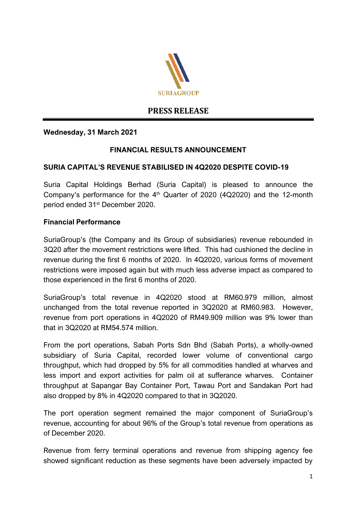

# **PRESS RELEASE**

### **Wednesday, 31 March 2021**

### **FINANCIAL RESULTS ANNOUNCEMENT**

### **SURIA CAPITAL'S REVENUE STABILISED IN 4Q2020 DESPITE COVID-19**

Suria Capital Holdings Berhad (Suria Capital) is pleased to announce the Company's performance for the 4<sup>th</sup> Quarter of 2020 (4Q2020) and the 12-month period ended 31st December 2020.

#### **Financial Performance**

SuriaGroup's (the Company and its Group of subsidiaries) revenue rebounded in 3Q20 after the movement restrictions were lifted. This had cushioned the decline in revenue during the first 6 months of 2020. In 4Q2020, various forms of movement restrictions were imposed again but with much less adverse impact as compared to those experienced in the first 6 months of 2020.

SuriaGroup's total revenue in 4Q2020 stood at RM60.979 million, almost unchanged from the total revenue reported in 3Q2020 at RM60.983. However, revenue from port operations in 4Q2020 of RM49.909 million was 9% lower than that in 3Q2020 at RM54.574 million.

From the port operations, Sabah Ports Sdn Bhd (Sabah Ports), a wholly-owned subsidiary of Suria Capital, recorded lower volume of conventional cargo throughput, which had dropped by 5% for all commodities handled at wharves and less import and export activities for palm oil at sufferance wharves. Container throughput at Sapangar Bay Container Port, Tawau Port and Sandakan Port had also dropped by 8% in 4Q2020 compared to that in 3Q2020.

The port operation segment remained the major component of SuriaGroup's revenue, accounting for about 96% of the Group's total revenue from operations as of December 2020.

Revenue from ferry terminal operations and revenue from shipping agency fee showed significant reduction as these segments have been adversely impacted by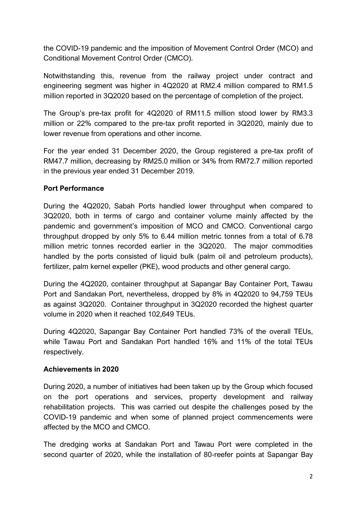the COVID-19 pandemic and the imposition of Movement Control Order (MCO) and Conditional Movement Control Order (CMCO).

Notwithstanding this, revenue from the railway project under contract and engineering segment was higher in 4Q2020 at RM2.4 million compared to RM1.5 million reported in 3Q2020 based on the percentage of completion of the project.

The Group's pre-tax profit for 4Q2020 of RM11.5 million stood lower by RM3.3 million or 22% compared to the pre-tax profit reported in 3Q2020, mainly due to lower revenue from operations and other income.

For the year ended 31 December 2020, the Group registered a pre-tax profit of RM47.7 million, decreasing by RM25.0 million or 34% from RM72.7 million reported in the previous year ended 31 December 2019.

# **Port Performance**

During the 4Q2020, Sabah Ports handled lower throughput when compared to 3Q2020, both in terms of cargo and container volume mainly affected by the pandemic and government's imposition of MCO and CMCO. Conventional cargo throughput dropped by only 5% to 6.44 million metric tonnes from a total of 6.78 million metric tonnes recorded earlier in the 3Q2020. The major commodities handled by the ports consisted of liquid bulk (palm oil and petroleum products), fertilizer, palm kernel expeller (PKE), wood products and other general cargo.

During the 4Q2020, container throughput at Sapangar Bay Container Port, Tawau Port and Sandakan Port, nevertheless, dropped by 8% in 4Q2020 to 94,759 TEUs as against 3Q2020. Container throughput in 3Q2020 recorded the highest quarter volume in 2020 when it reached 102,649 TEUs.

During 4Q2020, Sapangar Bay Container Port handled 73% of the overall TEUs, while Tawau Port and Sandakan Port handled 16% and 11% of the total TEUs respectively.

# **Achievements in 2020**

During 2020, a number of initiatives had been taken up by the Group which focused on the port operations and services, property development and railway rehabilitation projects. This was carried out despite the challenges posed by the COVID-19 pandemic and when some of planned project commencements were affected by the MCO and CMCO.

The dredging works at Sandakan Port and Tawau Port were completed in the second quarter of 2020, while the installation of 80-reefer points at Sapangar Bay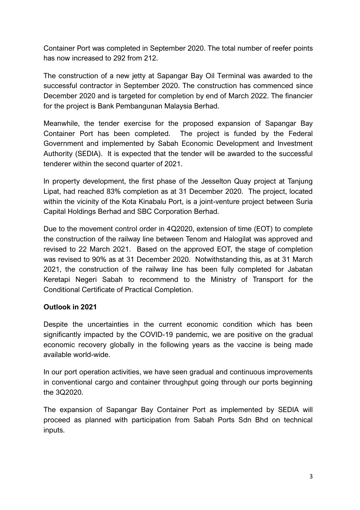Container Port was completed in September 2020. The total number of reefer points has now increased to 292 from 212.

The construction of a new jetty at Sapangar Bay Oil Terminal was awarded to the successful contractor in September 2020. The construction has commenced since December 2020 and is targeted for completion by end of March 2022. The financier for the project is Bank Pembangunan Malaysia Berhad.

Meanwhile, the tender exercise for the proposed expansion of Sapangar Bay Container Port has been completed. The project is funded by the Federal Government and implemented by Sabah Economic Development and Investment Authority (SEDIA). It is expected that the tender will be awarded to the successful tenderer within the second quarter of 2021.

In property development, the first phase of the Jesselton Quay project at Tanjung Lipat, had reached 83% completion as at 31 December 2020. The project, located within the vicinity of the Kota Kinabalu Port, is a joint-venture project between Suria Capital Holdings Berhad and SBC Corporation Berhad.

Due to the movement control order in 4Q2020, extension of time (EOT) to complete the construction of the railway line between Tenom and Halogilat was approved and revised to 22 March 2021. Based on the approved EOT, the stage of completion was revised to 90% as at 31 December 2020. Notwithstanding this, as at 31 March 2021, the construction of the railway line has been fully completed for Jabatan Keretapi Negeri Sabah to recommend to the Ministry of Transport for the Conditional Certificate of Practical Completion.

# **Outlook in 2021**

Despite the uncertainties in the current economic condition which has been significantly impacted by the COVID-19 pandemic, we are positive on the gradual economic recovery globally in the following years as the vaccine is being made available world-wide.

In our port operation activities, we have seen gradual and continuous improvements in conventional cargo and container throughput going through our ports beginning the 3Q2020.

The expansion of Sapangar Bay Container Port as implemented by SEDIA will proceed as planned with participation from Sabah Ports Sdn Bhd on technical inputs.